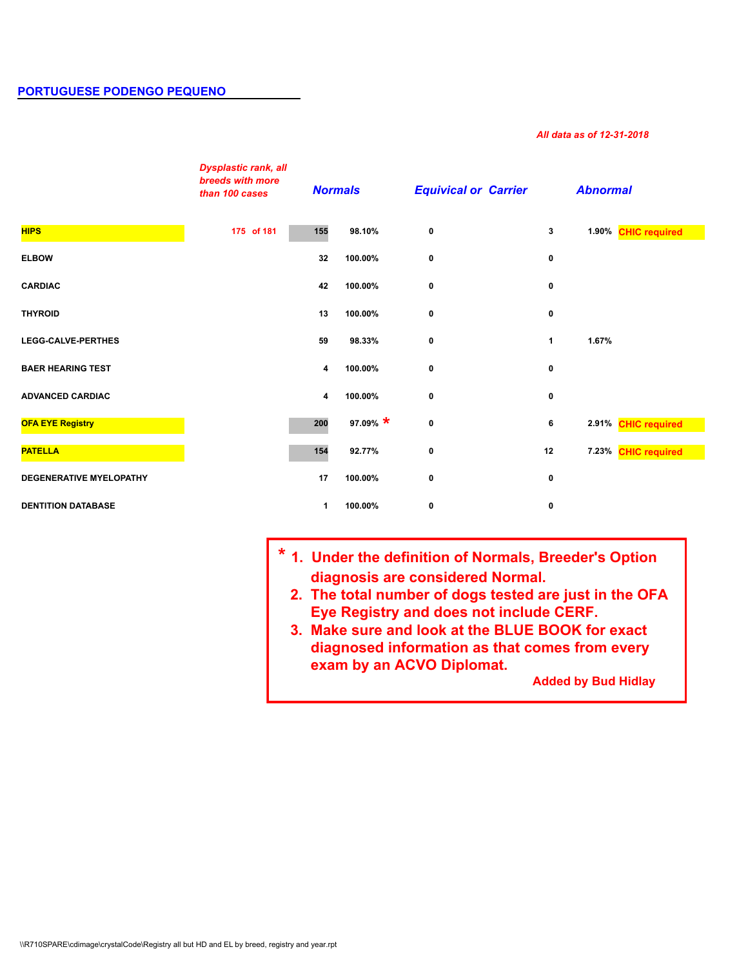## *All data as of 12-31-2018*

|                                                                                            | <b>Dysplastic rank, all</b><br>breeds with more<br>than 100 cases | <b>Normals</b> |            | <b>Equivical or Carrier</b>                                                                                                                                                                                                                                                                                                        |    | <b>Abnormal</b>            |                     |
|--------------------------------------------------------------------------------------------|-------------------------------------------------------------------|----------------|------------|------------------------------------------------------------------------------------------------------------------------------------------------------------------------------------------------------------------------------------------------------------------------------------------------------------------------------------|----|----------------------------|---------------------|
| <b>HIPS</b>                                                                                | 175 of 181                                                        | 155            | 98.10%     | 0                                                                                                                                                                                                                                                                                                                                  | 3  |                            | 1.90% CHIC required |
| <b>ELBOW</b>                                                                               |                                                                   | 32             | 100.00%    | 0                                                                                                                                                                                                                                                                                                                                  | 0  |                            |                     |
| <b>CARDIAC</b>                                                                             |                                                                   | 42             | 100.00%    | 0                                                                                                                                                                                                                                                                                                                                  | 0  |                            |                     |
| <b>THYROID</b>                                                                             |                                                                   | 13             | 100.00%    | 0                                                                                                                                                                                                                                                                                                                                  | 0  |                            |                     |
| <b>LEGG-CALVE-PERTHES</b>                                                                  |                                                                   | 59             | 98.33%     | 0                                                                                                                                                                                                                                                                                                                                  | 1  | 1.67%                      |                     |
| <b>BAER HEARING TEST</b>                                                                   |                                                                   | 4              | 100.00%    | 0                                                                                                                                                                                                                                                                                                                                  | 0  |                            |                     |
| <b>ADVANCED CARDIAC</b>                                                                    |                                                                   | 4              | 100.00%    | 0                                                                                                                                                                                                                                                                                                                                  | 0  |                            |                     |
| <b>OFA EYE Registry</b>                                                                    |                                                                   | 200            | 97.09% $*$ | 0                                                                                                                                                                                                                                                                                                                                  | 6  |                            | 2.91% CHIC required |
| <b>PATELLA</b>                                                                             |                                                                   | 154            | 92.77%     | 0                                                                                                                                                                                                                                                                                                                                  | 12 |                            | 7.23% CHIC required |
| <b>DEGENERATIVE MYELOPATHY</b>                                                             |                                                                   | 17             | 100.00%    | 0                                                                                                                                                                                                                                                                                                                                  | 0  |                            |                     |
| <b>DENTITION DATABASE</b>                                                                  |                                                                   | $\mathbf 1$    | 100.00%    | 0                                                                                                                                                                                                                                                                                                                                  | 0  |                            |                     |
| \\R710SPARE\cdimage\crystalCode\Registry all but HD and EL by breed, registry and year.rpt |                                                                   |                |            | * 1. Under the definition of Normals, Breeder's Option<br>diagnosis are considered Normal.<br>2. The total number of dogs tested are just in the OFA<br>Eye Registry and does not include CERF.<br>3. Make sure and look at the BLUE BOOK for exact<br>diagnosed information as that comes from every<br>exam by an ACVO Diplomat. |    | <b>Added by Bud Hidlay</b> |                     |

- **\* 1. Under the definition of Normals, Breeder's Option diagnosis are considered Normal.** 
	- **2. The total number of dogs tested are just in the OFA Eye Registry and does not include CERF.**
	- **3. Make sure and look at the BLUE BOOK for exact diagnosed information as that comes from every exam by an ACVO Diplomat.**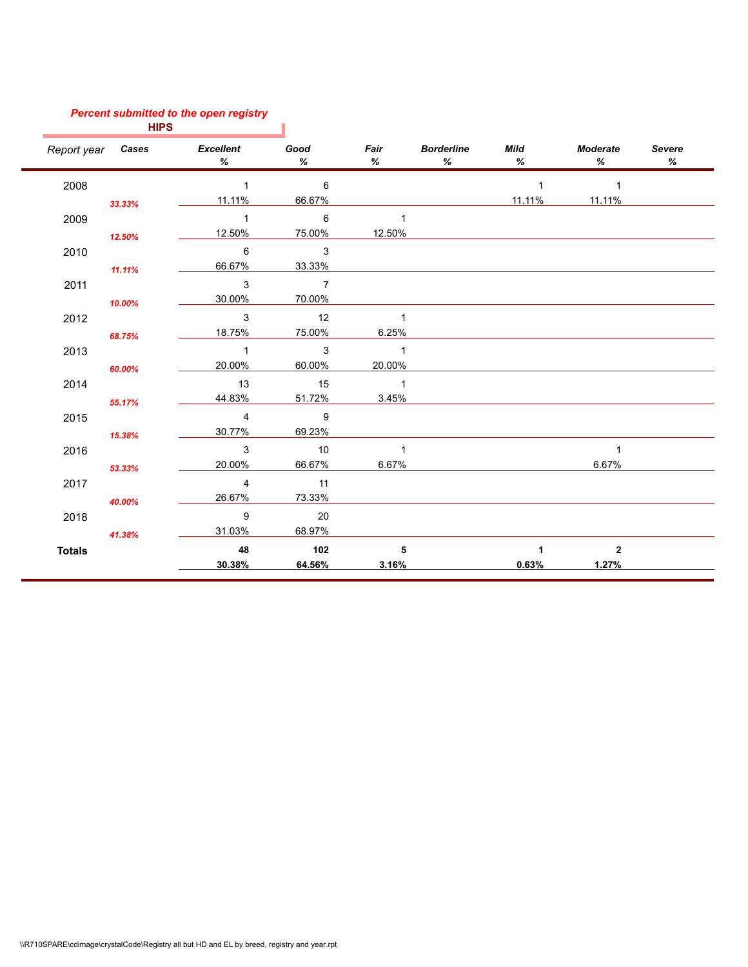## *Percent submitted to the open registry*

| <b>HIPS</b>   |                          |                |                            |                |                        |                |                |                    |
|---------------|--------------------------|----------------|----------------------------|----------------|------------------------|----------------|----------------|--------------------|
|               | Report year <b>Cases</b> | Excellent<br>% | Good<br>℅                  | Fair<br>%      | <b>Borderline</b><br>℅ | Mild<br>%      | Moderate<br>%  | <b>Severe</b><br>% |
| 2008          |                          | $\overline{1}$ | $\overline{6}$             |                |                        | $\overline{1}$ | $\overline{1}$ |                    |
|               | 33.33%                   | 11.11%         | 66.67%                     |                |                        | 11.11%         | 11.11%         |                    |
| 2009          |                          | $\overline{1}$ | 6                          | $\mathbf{1}$   |                        |                |                |                    |
|               | 12.50%                   | 12.50%         | 75.00%                     | 12.50%         |                        |                |                |                    |
| 2010          |                          | 6              | $\overline{\mathbf{3}}$    |                |                        |                |                |                    |
|               | 11.11%                   | 66.67%         | 33.33%                     |                |                        |                |                |                    |
| 2011          |                          | 3              | $\overline{7}$             |                |                        |                |                |                    |
|               | 10.00%                   | 30.00%         | 70.00%                     |                |                        |                |                |                    |
| 2012          |                          | 3              | 12                         | $\overline{1}$ |                        |                |                |                    |
|               | 68.75%                   | 18.75%         | 75.00%                     | 6.25%          |                        |                |                |                    |
| 2013          |                          | $\overline{1}$ | $\overline{\phantom{a}}$ 3 | $\overline{1}$ |                        |                |                |                    |
|               | 60.00%                   | 20.00%         | 60.00%                     | 20.00%         |                        |                |                |                    |
| 2014          |                          | 13             | 15                         | $\overline{1}$ |                        |                |                |                    |
|               | 55.17%                   | 44.83%         | 51.72%                     | 3.45%          |                        |                |                |                    |
| 2015          |                          | $\overline{4}$ | $\overline{9}$             |                |                        |                |                |                    |
|               | 15.38%                   | 30.77%         | 69.23%                     |                |                        |                |                |                    |
| 2016          |                          | 3              | $\overline{10}$            | $\mathbf{1}$   |                        |                | $\mathbf{1}$   |                    |
|               | 53.33%                   | 20.00%         | 66.67%                     | 6.67%          |                        |                | 6.67%          |                    |
| 2017          |                          | 4              | 11                         |                |                        |                |                |                    |
|               | 40.00%                   | 26.67%         | 73.33%                     |                |                        |                |                |                    |
| 2018          |                          | 9              | 20                         |                |                        |                |                |                    |
|               | 41.38%                   | 31.03%         | 68.97%                     |                |                        |                |                |                    |
| <b>Totals</b> |                          | 48             | 102                        | 5              |                        | $\mathbf{1}$   | $\overline{2}$ |                    |
|               |                          | 30.38%         | 64.56%                     | 3.16%          |                        | 0.63%          | 1.27%          |                    |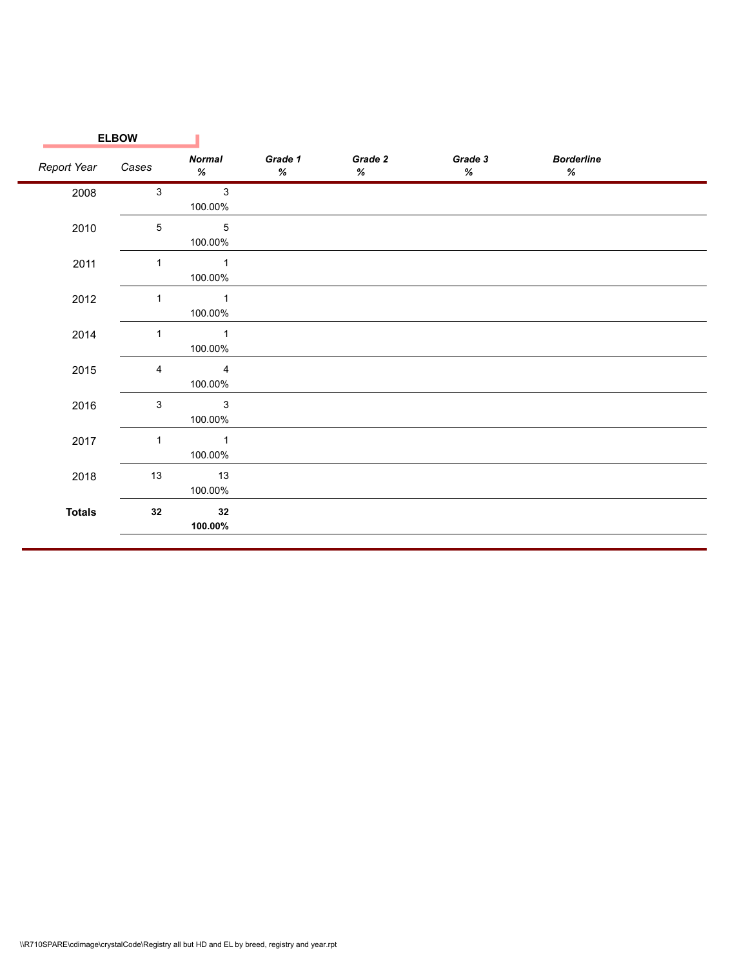| <b>ELBOW</b> |                                    |              |              |              |                        |  |
|--------------|------------------------------------|--------------|--------------|--------------|------------------------|--|
| Cases        | <b>Normal</b><br>%                 | Grade 1<br>% | Grade 2<br>% | Grade 3<br>% | <b>Borderline</b><br>% |  |
| $\mathbf{3}$ | $\mathbf{3}$<br>100.00%            |              |              |              |                        |  |
| 5            | $\sqrt{5}$<br>100.00%              |              |              |              |                        |  |
| 1            | $\sim$ 1<br>100.00%                |              |              |              |                        |  |
| $\mathbf 1$  | $\sim$ 1<br>100.00%                |              |              |              |                        |  |
| $\mathbf{1}$ | $\mathbf{1}$<br>100.00%            |              |              |              |                        |  |
| 4            | $\overline{4}$<br>100.00%          |              |              |              |                        |  |
| 3            | $\overline{\mathbf{3}}$<br>100.00% |              |              |              |                        |  |
| $\mathbf{1}$ | $\sim$ 1<br>100.00%                |              |              |              |                        |  |
| 13           | 13<br>100.00%                      |              |              |              |                        |  |
| 32           | 32<br>100.00%                      |              |              |              |                        |  |
|              |                                    |              |              |              |                        |  |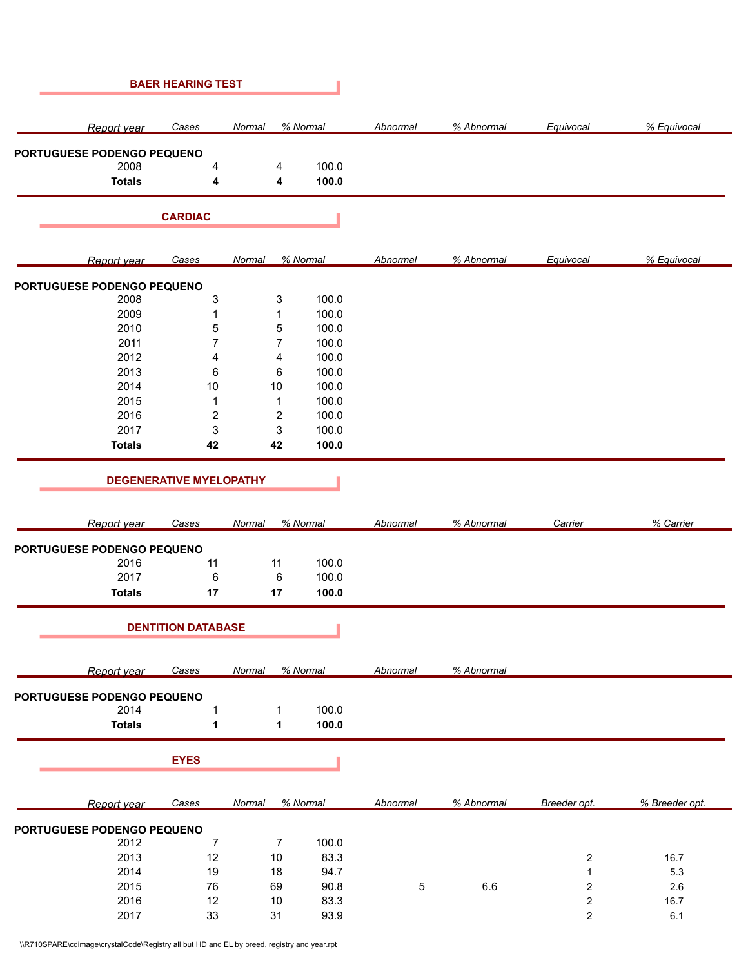|                                    | <b>BAER HEARING TEST</b>       |                         |          |          |            |                         |                |
|------------------------------------|--------------------------------|-------------------------|----------|----------|------------|-------------------------|----------------|
| Report year                        | Cases                          | Normal                  | % Normal | Abnormal | % Abnormal | Equivocal               | % Equivocal    |
| PORTUGUESE PODENGO PEQUENO         |                                |                         |          |          |            |                         |                |
| 2008                               | 4                              | 4                       | 100.0    |          |            |                         |                |
| <b>Totals</b>                      | 4                              | 4                       | 100.0    |          |            |                         |                |
|                                    | <b>CARDIAC</b>                 |                         |          |          |            |                         |                |
| Report year                        | <b>Cases</b>                   | Normal                  | % Normal | Abnormal | % Abnormal | Equivocal               | % Equivocal    |
|                                    |                                |                         |          |          |            |                         |                |
| PORTUGUESE PODENGO PEQUENO<br>2008 | $\ensuremath{\mathsf{3}}$      | 3                       | 100.0    |          |            |                         |                |
| 2009                               | 1                              | 1                       | 100.0    |          |            |                         |                |
| 2010                               | 5                              | 5                       | 100.0    |          |            |                         |                |
| 2011                               | $\overline{7}$                 | 7                       | 100.0    |          |            |                         |                |
| 2012                               |                                |                         |          |          |            |                         |                |
|                                    | 4                              | 4                       | 100.0    |          |            |                         |                |
| 2013                               | 6                              | 6                       | 100.0    |          |            |                         |                |
| 2014                               | 10                             | 10                      | 100.0    |          |            |                         |                |
| 2015                               | $\mathbf 1$                    | 1                       | 100.0    |          |            |                         |                |
| 2016                               | $\boldsymbol{2}$               | $\overline{\mathbf{c}}$ | 100.0    |          |            |                         |                |
| 2017                               | 3                              | 3                       | 100.0    |          |            |                         |                |
| <b>Totals</b>                      | 42                             | 42                      | 100.0    |          |            |                         |                |
|                                    | <b>DEGENERATIVE MYELOPATHY</b> |                         |          |          |            |                         |                |
| Report year                        | Cases                          | Normal                  | % Normal | Abnormal | % Abnormal | Carrier                 | % Carrier      |
| PORTUGUESE PODENGO PEQUENO         |                                |                         |          |          |            |                         |                |
| 2016                               | 11                             | 11                      | 100.0    |          |            |                         |                |
| 2017                               | 6                              | 6                       | 100.0    |          |            |                         |                |
| <b>Totals</b>                      | 17                             | 17                      | 100.0    |          |            |                         |                |
|                                    | <b>DENTITION DATABASE</b>      |                         |          |          |            |                         |                |
| Report year                        | <b>Cases</b>                   | Normal                  | % Normal | Abnormal | % Abnormal |                         |                |
| PORTUGUESE PODENGO PEQUENO         |                                |                         |          |          |            |                         |                |
| 2014                               | $\mathbf{1}$                   | 1                       | 100.0    |          |            |                         |                |
| <b>Totals</b>                      | 1                              | 1                       | 100.0    |          |            |                         |                |
|                                    | <b>EYES</b>                    |                         |          |          |            |                         |                |
|                                    |                                |                         |          |          |            |                         |                |
| Report year                        | <b>Cases</b>                   | <b>Normal</b>           | % Normal | Abnormal | % Abnormal | Breeder opt.            | % Breeder opt. |
| PORTUGUESE PODENGO PEQUENO         |                                |                         |          |          |            |                         |                |
| 2012                               | $\overline{7}$                 | $\overline{7}$          | 100.0    |          |            |                         |                |
| 2013                               | 12                             | 10                      | 83.3     |          |            | $\overline{\mathbf{c}}$ | 16.7           |
| 2014                               | 19                             | 18                      | 94.7     |          |            | $\mathbf{1}$            | $5.3\,$        |
| 2015                               | 76                             | 69                      | 90.8     | 5        | 6.6        | $\sqrt{2}$              | 2.6            |
| 2016                               | 12                             | 10                      | 83.3     |          |            | $\boldsymbol{2}$        | 16.7           |
| 2017                               | 33                             | 31                      | 93.9     |          |            | $\overline{\mathbf{c}}$ | 6.1            |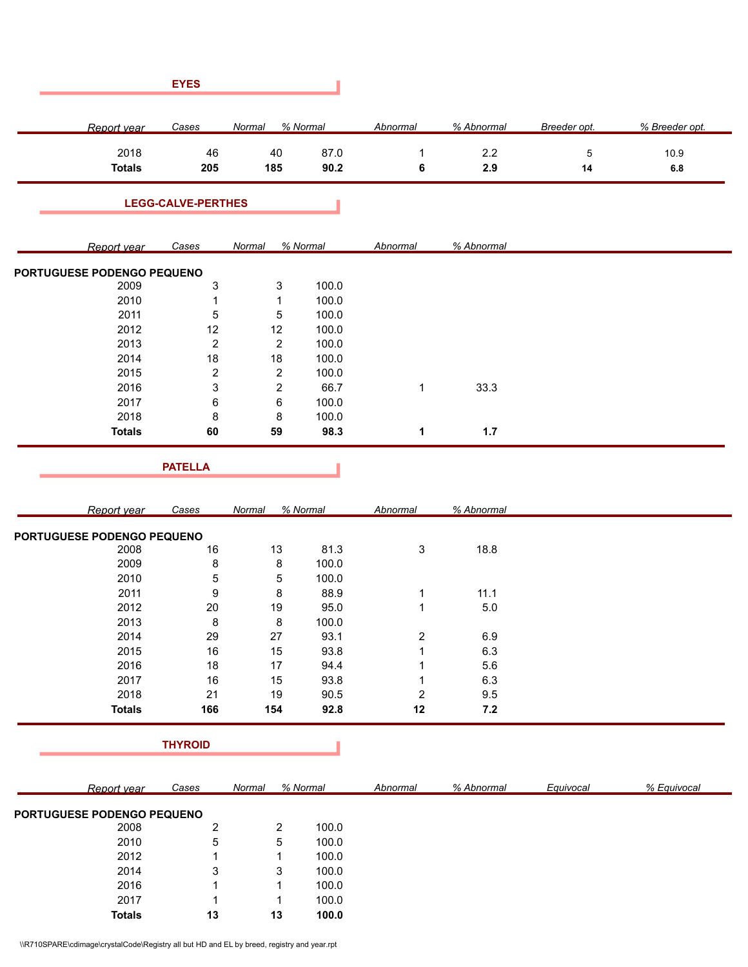| <b>EYES</b>                        |                           |                           |              |                   |            |                   |                 |
|------------------------------------|---------------------------|---------------------------|--------------|-------------------|------------|-------------------|-----------------|
| Report year                        | Cases                     | Normal                    | % Normal     | Abnormal          | % Abnormal | Breeder opt.      | % Breeder opt.  |
| 2018<br><b>Totals</b>              | 46<br>205                 | 40<br>185                 | 87.0<br>90.2 | $\mathbf{1}$<br>6 | 2.2<br>2.9 | $\,$ 5 $\,$<br>14 | 10.9<br>$6.8\,$ |
|                                    | <b>LEGG-CALVE-PERTHES</b> |                           |              |                   |            |                   |                 |
| Report year                        | <b>Cases</b>              | Normal                    | % Normal     | Abnormal          | % Abnormal |                   |                 |
|                                    |                           |                           |              |                   |            |                   |                 |
| PORTUGUESE PODENGO PEQUENO<br>2009 | 3                         | 3                         | 100.0        |                   |            |                   |                 |
| 2010                               | 1                         | 1                         | 100.0        |                   |            |                   |                 |
| 2011                               | 5                         | $\,$ 5 $\,$               | 100.0        |                   |            |                   |                 |
| 2012                               | 12                        | 12                        | 100.0        |                   |            |                   |                 |
| 2013                               | $\overline{2}$            | $\overline{2}$            | 100.0        |                   |            |                   |                 |
| 2014                               | 18                        | 18                        | 100.0        |                   |            |                   |                 |
| 2015                               | $\overline{\mathbf{c}}$   | $\boldsymbol{2}$          | 100.0        |                   |            |                   |                 |
| 2016                               | 3                         | $\boldsymbol{2}$          | 66.7         | 1                 | 33.3       |                   |                 |
| 2017                               | 6                         | $\,6$                     | 100.0        |                   |            |                   |                 |
| 2018                               | 8                         | 8                         | 100.0        |                   |            |                   |                 |
| <b>Totals</b>                      | 60                        | 59                        | 98.3         | 1                 | 1.7        |                   |                 |
|                                    |                           |                           |              |                   |            |                   |                 |
|                                    | <b>PATELLA</b>            |                           |              |                   |            |                   |                 |
| Report year                        | Cases                     | Normal                    | % Normal     | Abnormal          | % Abnormal |                   |                 |
| PORTUGUESE PODENGO PEQUENO         |                           |                           |              |                   |            |                   |                 |
| 2008                               | 16                        | 13                        | 81.3         | 3                 | 18.8       |                   |                 |
| 2009                               | 8                         | 8                         | 100.0        |                   |            |                   |                 |
| 2010                               | 5                         | $\,$ 5 $\,$               | 100.0        |                   |            |                   |                 |
| 2011                               | 9                         | 8                         | 88.9         | 1                 | 11.1       |                   |                 |
| 2012                               | 20                        | 19                        | 95.0         | $\mathbf{1}$      | 5.0        |                   |                 |
| 2013                               | 8                         | 8                         | 100.0        |                   |            |                   |                 |
| 2014                               | 29                        | 27                        | 93.1         | $\overline{c}$    | 6.9        |                   |                 |
| 2015                               | $16\,$                    | 15                        | 93.8         | $\mathbf{1}$      | 6.3        |                   |                 |
| 2016                               | 18                        | 17                        | 94.4         | $\mathbf 1$       | 5.6        |                   |                 |
| 2017                               | $16\,$                    | 15                        | 93.8         | $\mathbf 1$       | 6.3        |                   |                 |
| 2018                               | 21                        | 19                        | 90.5         | $\overline{c}$    | 9.5        |                   |                 |
| <b>Totals</b>                      | 166                       | 154                       | 92.8         | 12                | $7.2$      |                   |                 |
|                                    |                           |                           |              |                   |            |                   |                 |
|                                    | <b>THYROID</b>            |                           |              |                   |            |                   |                 |
| Report year                        | Cases                     | Normal                    | % Normal     | Abnormal          | % Abnormal | Equivocal         | % Equivocal     |
|                                    |                           |                           |              |                   |            |                   |                 |
| PORTUGUESE PODENGO PEQUENO<br>2008 | $\overline{\mathbf{c}}$   | $\boldsymbol{2}$          | 100.0        |                   |            |                   |                 |
| 2010                               |                           |                           |              |                   |            |                   |                 |
|                                    | 5                         | $\mathbf 5$               | 100.0        |                   |            |                   |                 |
| 2012                               | 1                         | $\mathbf{1}$              | 100.0        |                   |            |                   |                 |
| 2014                               | 3                         | $\ensuremath{\mathsf{3}}$ | 100.0        |                   |            |                   |                 |
| 2016                               | 1                         | 1                         | 100.0        |                   |            |                   |                 |
| 2017                               | $\mathbf{1}$              | $\mathbf{1}$              | 100.0        |                   |            |                   |                 |

**Totals 13 13 100.0**